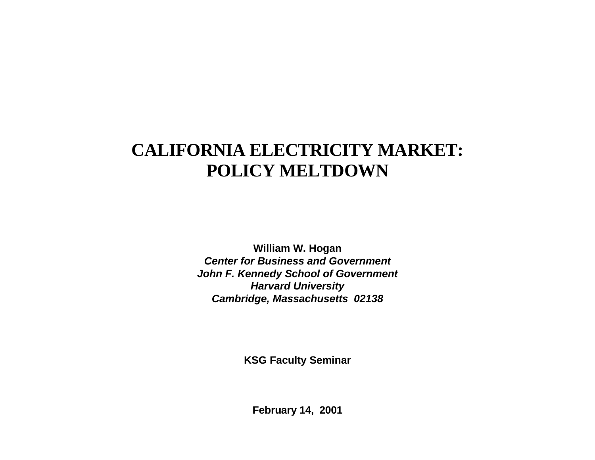# **CALIFORNIA ELECTRICITY MARKET: POLICY MELTDOWN**

**William W. Hogan Center for Business and GovernmentJohn F. Kennedy School of Government Harvard University Cambridge, Massachusetts 02138**

**KSG Faculty Seminar**

**February 14, 2001**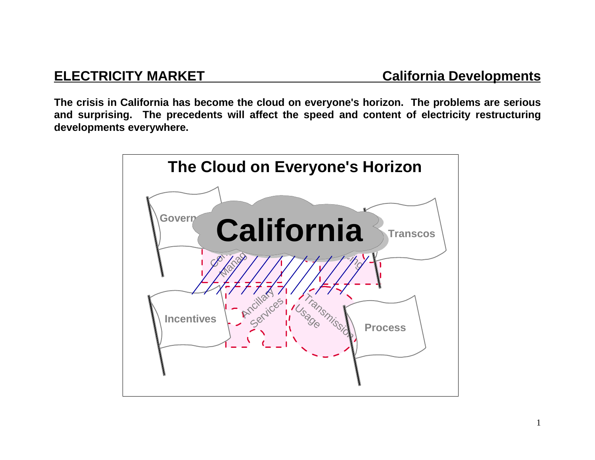**The crisis in California has become the cloud on everyone's horizon. The problems are serious and surprising. The precedents will affect the speed and content of electricity restructuring developments everywhere.**

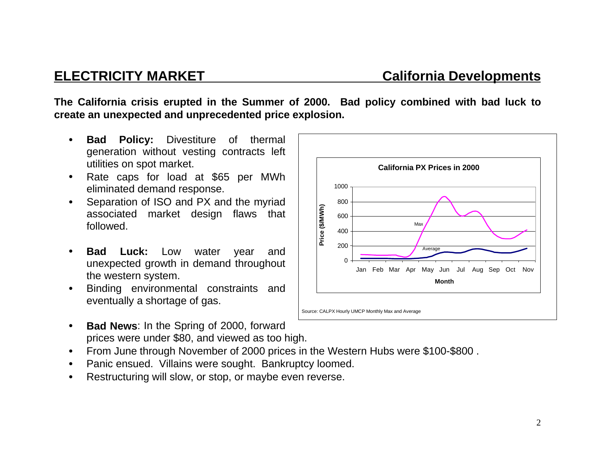**The California crisis erupted in the Summer of 2000. Bad policy combined with bad luck to create an unexpected and unprecedented price explosion.**

- • **Bad Policy:** Divestiture of thermal generation without vesting contracts left utilities on spot market.
- • Rate caps for load at \$65 per MWh eliminated demand response.
- • Separation of ISO and PX and the myriad associated market design flaws that followed.
- • **Bad Luck:** Low water year and unexpected growth in demand throughout the western system.
- • Binding environmental constraints and eventually a shortage of gas.
- • **Bad News**: In the Spring of 2000, forward prices were under \$80, and viewed as too high.
- $\bullet$ From June through November of 2000 prices in the Western Hubs were \$100-\$800 .
- •Panic ensued. Villains were sought. Bankruptcy loomed.
- •Restructuring will slow, or stop, or maybe even reverse.



## **ELECTRICITY MARKET California Developments**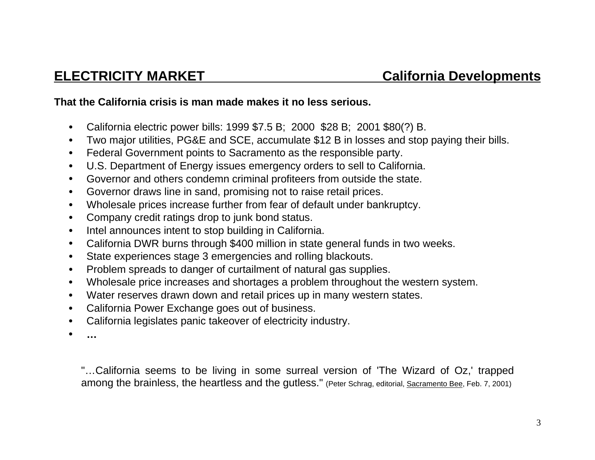## **That the California crisis is man made makes it no less serious.**

- $\bullet$ California electric power bills: 1999 \$7.5 B; 2000 \$28 B; 2001 \$80(?) B.
- $\bullet$ Two major utilities, PG&E and SCE, accumulate \$12 B in losses and stop paying their bills.
- $\bullet$ Federal Government points to Sacramento as the responsible party.
- $\bullet$ U.S. Department of Energy issues emergency orders to sell to California.
- $\bullet$ Governor and others condemn criminal profiteers from outside the state.
- $\bullet$ Governor draws line in sand, promising not to raise retail prices.
- •Wholesale prices increase further from fear of default under bankruptcy.
- •Company credit ratings drop to junk bond status.
- •Intel announces intent to stop building in California.
- •California DWR burns through \$400 million in state general funds in two weeks.
- •State experiences stage 3 emergencies and rolling blackouts.
- $\bullet$ Problem spreads to danger of curtailment of natural gas supplies.
- $\bullet$ Wholesale price increases and shortages a problem throughout the western system.
- •Water reserves drawn down and retail prices up in many western states.
- $\bullet$ California Power Exchange goes out of business.
- •California legislates panic takeover of electricity industry.
- •**…**

"…California seems to be living in some surreal version of 'The Wizard of Oz,' trapped among the brainless, the heartless and the gutless." (Peter Schrag, editorial, Sacramento Bee, Feb. 7, 2001)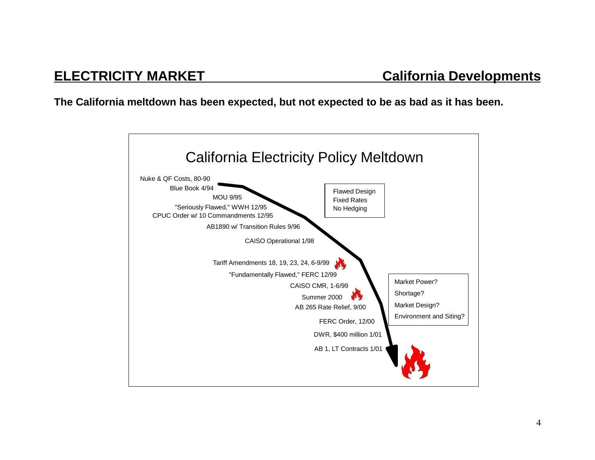**The California meltdown has been expected, but not expected to be as bad as it has been.**

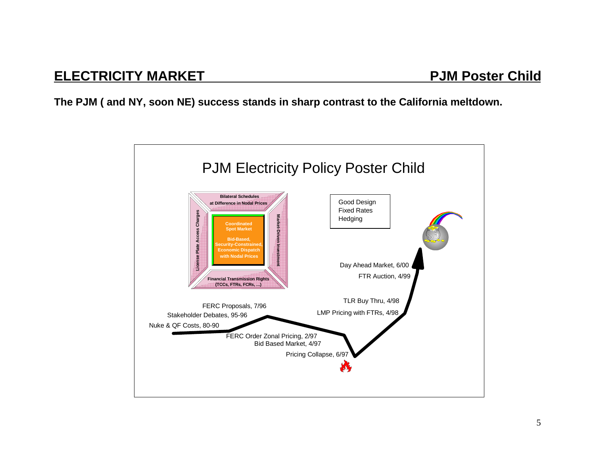**The PJM ( and NY, soon NE) success stands in sharp contrast to the California meltdown.**

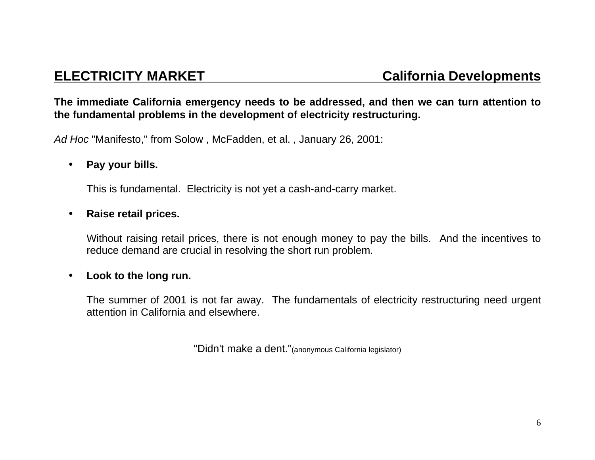## **The immediate California emergency needs to be addressed, and then we can turn attention to the fundamental problems in the development of electricity restructuring.**

Ad Hoc "Manifesto," from Solow , McFadden, et al. , January 26, 2001:

## $\bullet$ **Pay your bills.**

This is fundamental. Electricity is not yet a cash-and-carry market.

## •**Raise retail prices.**

Without raising retail prices, there is not enough money to pay the bills. And the incentives to reduce demand are crucial in resolving the short run problem.

## $\bullet$ **Look to the long run.**

The summer of 2001 is not far away. The fundamentals of electricity restructuring need urgent attention in California and elsewhere.

"Didn't make a dent."(anonymous California legislator)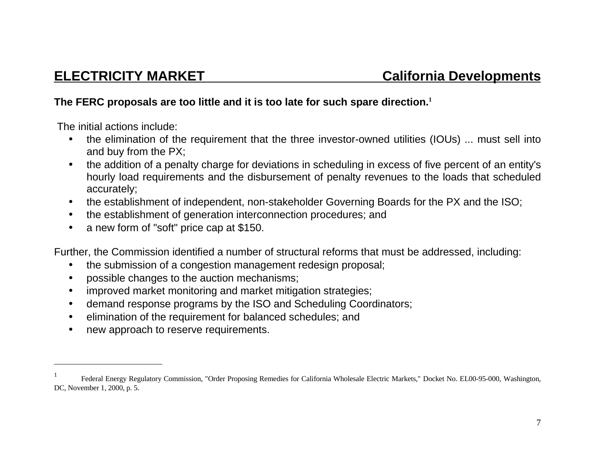## **The FERC proposals are too little and it is too late for such spare direction.<sup>1</sup>**

The initial actions include:

- $\bullet$  the elimination of the requirement that the three investor-owned utilities (IOUs) ... must sell into and buy from the PX;
- $\bullet$  the addition of a penalty charge for deviations in scheduling in excess of five percent of an entity's hourly load requirements and the disbursement of penalty revenues to the loads that scheduled accurately;
- $\bullet$ the establishment of independent, non-stakeholder Governing Boards for the PX and the ISO;
- $\bullet$ the establishment of generation interconnection procedures; and
- $\bullet$ a new form of "soft" price cap at \$150.

Further, the Commission identified a number of structural reforms that must be addressed, including:

- •the submission of a congestion management redesign proposal;
- •possible changes to the auction mechanisms;
- $\bullet$ improved market monitoring and market mitigation strategies;
- $\bullet$ demand response programs by the ISO and Scheduling Coordinators;
- $\bullet$ elimination of the requirement for balanced schedules; and
- $\bullet$ new approach to reserve requirements.

<sup>1</sup> Federal Energy Regulatory Commission, "Order Proposing Remedies for California Wholesale Electric Markets," Docket No. EL00-95-000, Washington, DC, November 1, 2000, p. 5.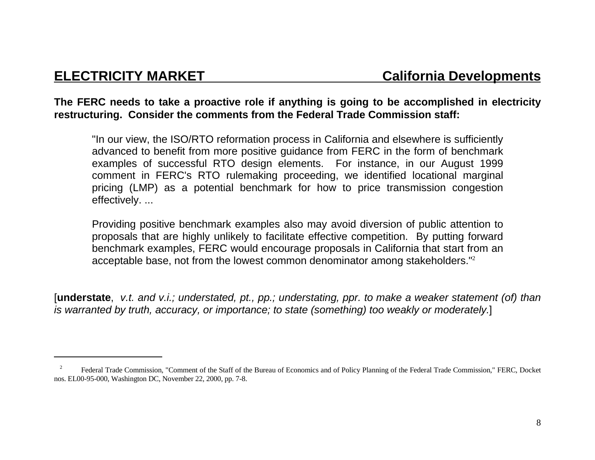**The FERC needs to take a proactive role if anything is going to be accomplished in electricity restructuring. Consider the comments from the Federal Trade Commission staff:**

"In our view, the ISO/RTO reformation process in California and elsewhere is sufficiently advanced to benefit from more positive guidance from FERC in the form of benchmark examples of successful RTO design elements. For instance, in our August 1999 comment in FERC's RTO rulemaking proceeding, we identified locational marginal pricing (LMP) as a potential benchmark for how to price transmission congestion effectively. ...

Providing positive benchmark examples also may avoid diversion of public attention to proposals that are highly unlikely to facilitate effective competition. By putting forward benchmark examples, FERC would encourage proposals in California that start from an acceptable base, not from the lowest common denominator among stakeholders."<sup>2</sup>

[**understate**, v.t. and v.i.; understated, pt., pp.; understating, ppr. to make a weaker statement (of) than is warranted by truth, accuracy, or importance; to state (something) too weakly or moderately.]

 <sup>2</sup> Federal Trade Commission, "Comment of the Staff of the Bureau of Economics and of Policy Planning of the Federal Trade Commission," FERC, Docket nos. EL00-95-000, Washington DC, November 22, 2000, pp. 7-8.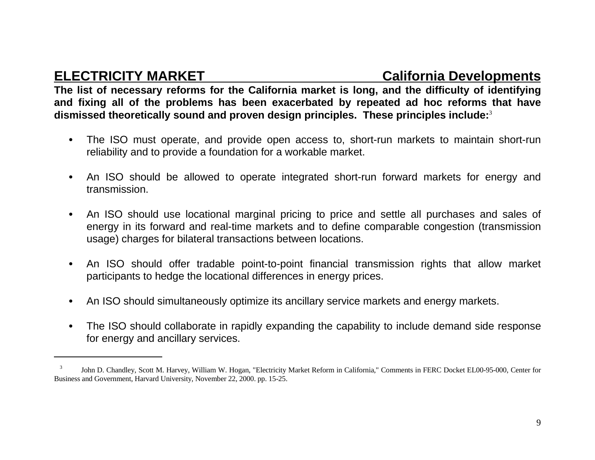**ELECTRICITY MARKET California Developments** 

**The list of necessary reforms for the California market is long, and the difficulty of identifying and fixing all of the problems has been exacerbated by repeated ad hoc reforms that have dismissed theoretically sound and proven design principles. These principles include:**<sup>3</sup>

- • The ISO must operate, and provide open access to, short-run markets to maintain short-run reliability and to provide a foundation for a workable market.
- $\bullet$  An ISO should be allowed to operate integrated short-run forward markets for energy and transmission.
- $\bullet$  An ISO should use locational marginal pricing to price and settle all purchases and sales of energy in its forward and real-time markets and to define comparable congestion (transmission usage) charges for bilateral transactions between locations.
- • An ISO should offer tradable point-to-point financial transmission rights that allow market participants to hedge the locational differences in energy prices.
- •An ISO should simultaneously optimize its ancillary service markets and energy markets.
- • The ISO should collaborate in rapidly expanding the capability to include demand side response for energy and ancillary services.

 <sup>3</sup> John D. Chandley, Scott M. Harvey, William W. Hogan, "Electricity Market Reform in California," Comments in FERC Docket EL00-95-000, Center for Business and Government, Harvard University, November 22, 2000. pp. 15-25.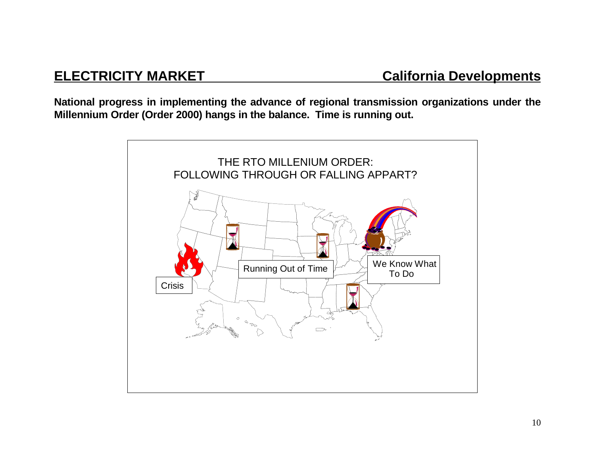**National progress in implementing the advance of regional transmission organizations under the Millennium Order (Order 2000) hangs in the balance. Time is running out.**